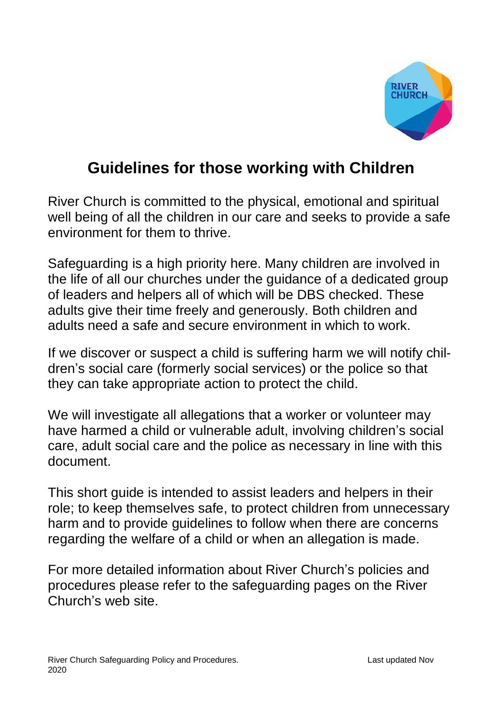

## **Guidelines for those working with Children**

River Church is committed to the physical, emotional and spiritual well being of all the children in our care and seeks to provide a safe environment for them to thrive.

Safeguarding is a high priority here. Many children are involved in the life of all our churches under the guidance of a dedicated group of leaders and helpers all of which will be DBS checked. These adults give their time freely and generously. Both children and adults need a safe and secure environment in which to work.

If we discover or suspect a child is suffering harm we will notify children's social care (formerly social services) or the police so that they can take appropriate action to protect the child.

We will investigate all allegations that a worker or volunteer may have harmed a child or vulnerable adult, involving children's social care, adult social care and the police as necessary in line with this document.

This short guide is intended to assist leaders and helpers in their role; to keep themselves safe, to protect children from unnecessary harm and to provide guidelines to follow when there are concerns regarding the welfare of a child or when an allegation is made.

For more detailed information about River Church's policies and procedures please refer to the safeguarding pages on the River Church's web site.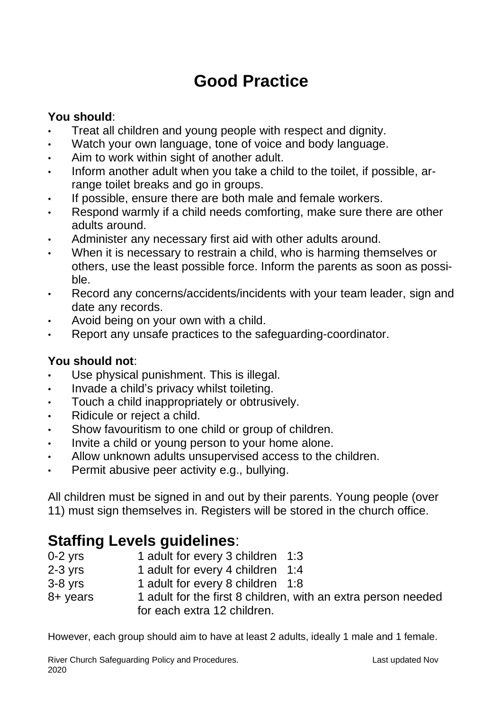# **Good Practice**

### **You should**:

- Treat all children and young people with respect and dignity.
- Watch your own language, tone of voice and body language.
- Aim to work within sight of another adult.
- Inform another adult when you take a child to the toilet, if possible, arrange toilet breaks and go in groups.
- If possible, ensure there are both male and female workers.
- Respond warmly if a child needs comforting, make sure there are other adults around.
- Administer any necessary first aid with other adults around.
- When it is necessary to restrain a child, who is harming themselves or others, use the least possible force. Inform the parents as soon as possible.
- Record any concerns/accidents/incidents with your team leader, sign and date any records.
- Avoid being on your own with a child.
- Report any unsafe practices to the safeguarding-coordinator.

#### **You should not**:

- Use physical punishment. This is illegal.
- Invade a child's privacy whilst toileting.
- Touch a child inappropriately or obtrusively.
- Ridicule or reject a child.
- Show favouritism to one child or group of children.
- Invite a child or young person to your home alone.
- Allow unknown adults unsupervised access to the children.
- Permit abusive peer activity e.g., bullying.

All children must be signed in and out by their parents. Young people (over 11) must sign themselves in. Registers will be stored in the church office.

# **Staffing Levels guidelines:**<br>0-2 yrs 1 adult for every 3 c

- 1 adult for every 3 children 1:3
- 2-3 yrs 1 adult for every 4 children 1:4
- 3-8 yrs 1 adult for every 8 children 1:8
- 8+ years 1 adult for the first 8 children, with an extra person needed for each extra 12 children.

However, each group should aim to have at least 2 adults, ideally 1 male and 1 female.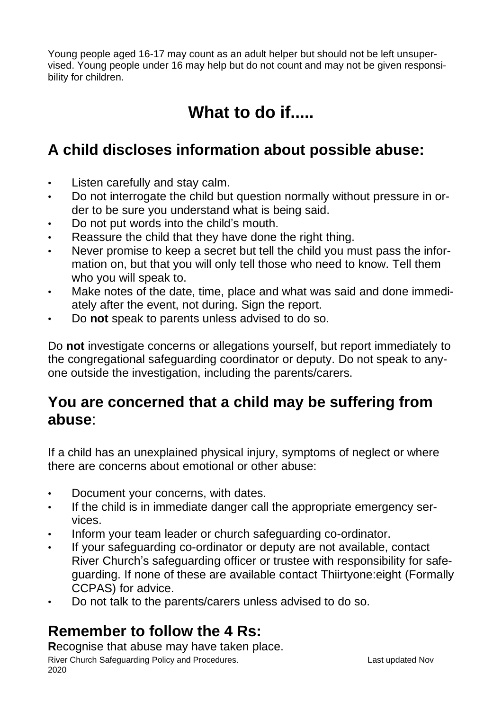Young people aged 16-17 may count as an adult helper but should not be left unsupervised. Young people under 16 may help but do not count and may not be given responsibility for children.

# **What to do if.....**

## **A child discloses information about possible abuse:**

- Listen carefully and stay calm.
- Do not interrogate the child but question normally without pressure in order to be sure you understand what is being said.
- Do not put words into the child's mouth.
- Reassure the child that they have done the right thing.
- Never promise to keep a secret but tell the child you must pass the information on, but that you will only tell those who need to know. Tell them who you will speak to.
- Make notes of the date, time, place and what was said and done immediately after the event, not during. Sign the report.
- Do **not** speak to parents unless advised to do so.

Do **not** investigate concerns or allegations yourself, but report immediately to the congregational safeguarding coordinator or deputy. Do not speak to anyone outside the investigation, including the parents/carers.

## **You are concerned that a child may be suffering from abuse**:

If a child has an unexplained physical injury, symptoms of neglect or where there are concerns about emotional or other abuse:

- Document your concerns, with dates.
- If the child is in immediate danger call the appropriate emergency services.
- Inform your team leader or church safeguarding co-ordinator.
- If your safeguarding co-ordinator or deputy are not available, contact River Church's safeguarding officer or trustee with responsibility for safeguarding. If none of these are available contact Thiirtyone:eight (Formally CCPAS) for advice.
- Do not talk to the parents/carers unless advised to do so.

## **Remember to follow the 4 Rs:**

River Church Safeguarding Policy and Procedures. The Contract of Last updated Nov 2020 **R**ecognise that abuse may have taken place.